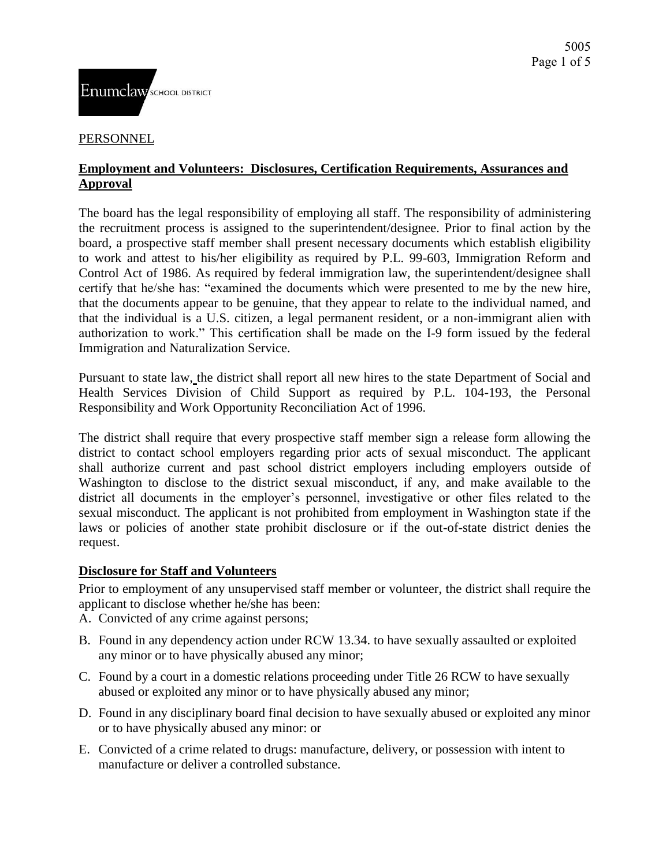#### PERSONNEL

## **Employment and Volunteers: Disclosures, Certification Requirements, Assurances and Approval**

The board has the legal responsibility of employing all staff. The responsibility of administering the recruitment process is assigned to the superintendent/designee. Prior to final action by the board, a prospective staff member shall present necessary documents which establish eligibility to work and attest to his/her eligibility as required by P.L. 99-603, Immigration Reform and Control Act of 1986. As required by federal immigration law, the superintendent/designee shall certify that he/she has: "examined the documents which were presented to me by the new hire, that the documents appear to be genuine, that they appear to relate to the individual named, and that the individual is a U.S. citizen, a legal permanent resident, or a non-immigrant alien with authorization to work." This certification shall be made on the I-9 form issued by the federal Immigration and Naturalization Service.

Pursuant to state law, the district shall report all new hires to the state Department of Social and Health Services Division of Child Support as required by P.L. 104-193, the Personal Responsibility and Work Opportunity Reconciliation Act of 1996.

The district shall require that every prospective staff member sign a release form allowing the district to contact school employers regarding prior acts of sexual misconduct. The applicant shall authorize current and past school district employers including employers outside of Washington to disclose to the district sexual misconduct, if any, and make available to the district all documents in the employer's personnel, investigative or other files related to the sexual misconduct. The applicant is not prohibited from employment in Washington state if the laws or policies of another state prohibit disclosure or if the out-of-state district denies the request.

## **Disclosure for Staff and Volunteers**

Prior to employment of any unsupervised staff member or volunteer, the district shall require the applicant to disclose whether he/she has been:

- A. Convicted of any crime against persons;
- B. Found in any dependency action under RCW 13.34. to have sexually assaulted or exploited any minor or to have physically abused any minor;
- C. Found by a court in a domestic relations proceeding under Title 26 RCW to have sexually abused or exploited any minor or to have physically abused any minor;
- D. Found in any disciplinary board final decision to have sexually abused or exploited any minor or to have physically abused any minor: or
- E. Convicted of a crime related to drugs: manufacture, delivery, or possession with intent to manufacture or deliver a controlled substance.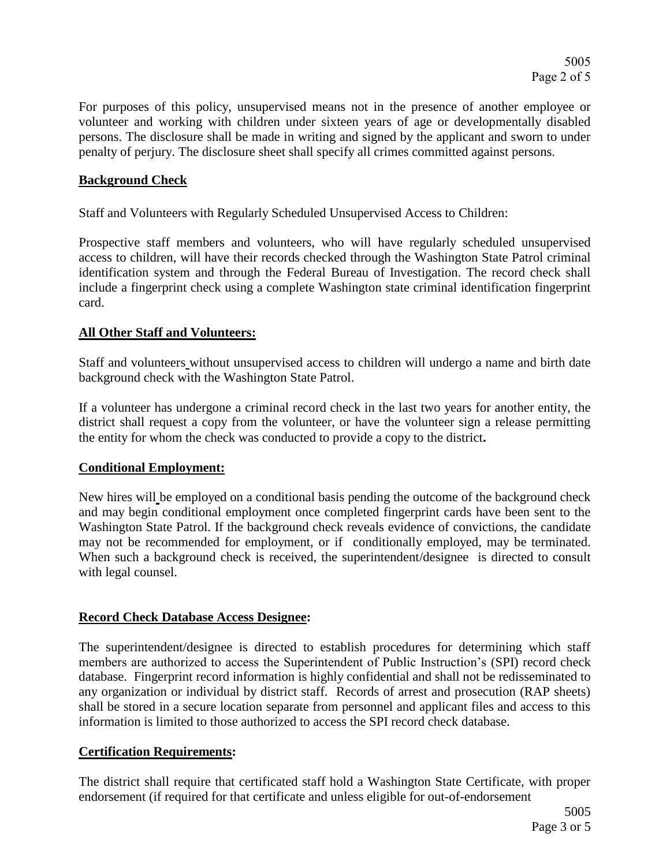For purposes of this policy, unsupervised means not in the presence of another employee or volunteer and working with children under sixteen years of age or developmentally disabled persons. The disclosure shall be made in writing and signed by the applicant and sworn to under penalty of perjury. The disclosure sheet shall specify all crimes committed against persons.

# **Background Check**

Staff and Volunteers with Regularly Scheduled Unsupervised Access to Children:

Prospective staff members and volunteers, who will have regularly scheduled unsupervised access to children, will have their records checked through the Washington State Patrol criminal identification system and through the Federal Bureau of Investigation. The record check shall include a fingerprint check using a complete Washington state criminal identification fingerprint card.

#### **All Other Staff and Volunteers:**

Staff and volunteers without unsupervised access to children will undergo a name and birth date background check with the Washington State Patrol.

If a volunteer has undergone a criminal record check in the last two years for another entity, the district shall request a copy from the volunteer, or have the volunteer sign a release permitting the entity for whom the check was conducted to provide a copy to the district**.**

## **Conditional Employment:**

New hires will be employed on a conditional basis pending the outcome of the background check and may begin conditional employment once completed fingerprint cards have been sent to the Washington State Patrol. If the background check reveals evidence of convictions, the candidate may not be recommended for employment, or if conditionally employed, may be terminated. When such a background check is received, the superintendent/designee is directed to consult with legal counsel.

## **Record Check Database Access Designee:**

The superintendent/designee is directed to establish procedures for determining which staff members are authorized to access the Superintendent of Public Instruction's (SPI) record check database. Fingerprint record information is highly confidential and shall not be redisseminated to any organization or individual by district staff. Records of arrest and prosecution (RAP sheets) shall be stored in a secure location separate from personnel and applicant files and access to this information is limited to those authorized to access the SPI record check database.

## **Certification Requirements:**

The district shall require that certificated staff hold a Washington State Certificate, with proper endorsement (if required for that certificate and unless eligible for out-of-endorsement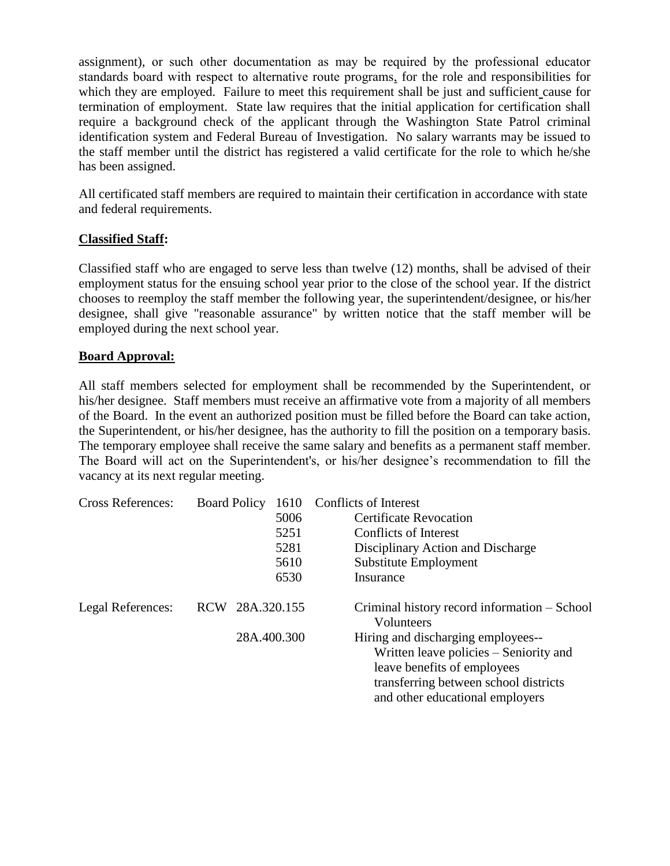assignment), or such other documentation as may be required by the professional educator standards board with respect to alternative route programs, for the role and responsibilities for which they are employed. Failure to meet this requirement shall be just and sufficient cause for termination of employment. State law requires that the initial application for certification shall require a background check of the applicant through the Washington State Patrol criminal identification system and Federal Bureau of Investigation. No salary warrants may be issued to the staff member until the district has registered a valid certificate for the role to which he/she has been assigned.

All certificated staff members are required to maintain their certification in accordance with state and federal requirements.

#### **Classified Staff:**

Classified staff who are engaged to serve less than twelve (12) months, shall be advised of their employment status for the ensuing school year prior to the close of the school year. If the district chooses to reemploy the staff member the following year, the superintendent/designee, or his/her designee, shall give "reasonable assurance" by written notice that the staff member will be employed during the next school year.

#### **Board Approval:**

All staff members selected for employment shall be recommended by the Superintendent, or his/her designee. Staff members must receive an affirmative vote from a majority of all members of the Board. In the event an authorized position must be filled before the Board can take action, the Superintendent, or his/her designee, has the authority to fill the position on a temporary basis. The temporary employee shall receive the same salary and benefits as a permanent staff member. The Board will act on the Superintendent's, or his/her designee's recommendation to fill the vacancy at its next regular meeting.

| <b>Cross References:</b> | 1610<br><b>Board Policy</b> | Conflicts of Interest                                      |  |
|--------------------------|-----------------------------|------------------------------------------------------------|--|
|                          | 5006                        | Certificate Revocation                                     |  |
|                          | 5251                        | Conflicts of Interest                                      |  |
|                          | 5281                        | Disciplinary Action and Discharge                          |  |
|                          | 5610                        | Substitute Employment                                      |  |
|                          | 6530                        | Insurance                                                  |  |
| Legal References:        | 28A.320.155<br><b>RCW</b>   | Criminal history record information – School<br>Volunteers |  |
|                          | 28A.400.300                 | Hiring and discharging employees--                         |  |
|                          |                             | Written leave policies – Seniority and                     |  |
|                          |                             | leave benefits of employees                                |  |
|                          |                             | transferring between school districts                      |  |
|                          |                             | and other educational employers                            |  |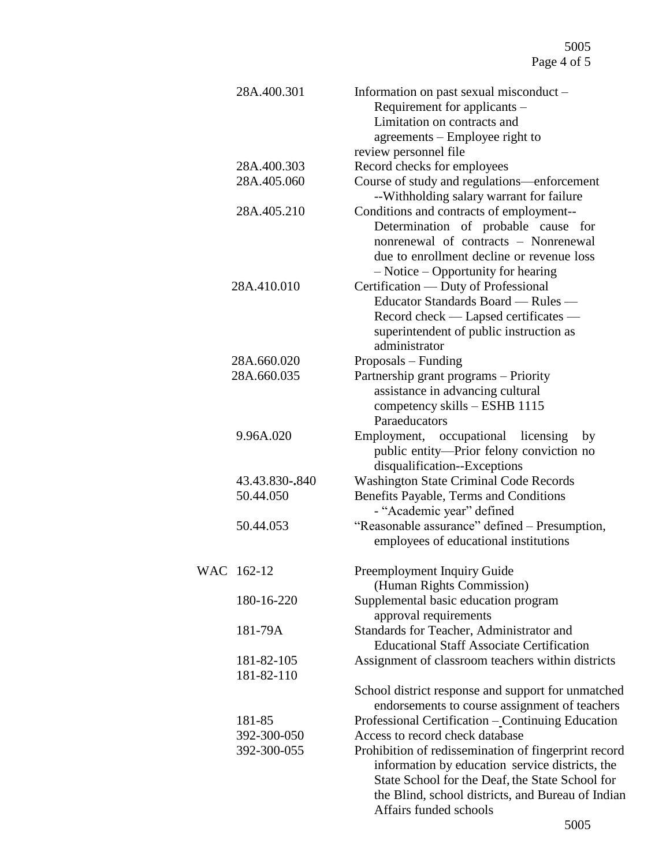| 28A.400.301 |                | Information on past sexual misconduct -                                                 |
|-------------|----------------|-----------------------------------------------------------------------------------------|
|             |                | Requirement for applicants –                                                            |
|             |                | Limitation on contracts and                                                             |
|             |                | agreements – Employee right to                                                          |
|             |                | review personnel file                                                                   |
| 28A.400.303 |                | Record checks for employees                                                             |
| 28A.405.060 |                | Course of study and regulations-enforcement<br>--Withholding salary warrant for failure |
| 28A.405.210 |                | Conditions and contracts of employment--                                                |
|             |                | Determination of probable cause for                                                     |
|             |                | nonrenewal of contracts – Nonrenewal                                                    |
|             |                | due to enrollment decline or revenue loss                                               |
|             |                | $-$ Notice $-$ Opportunity for hearing                                                  |
| 28A.410.010 |                | Certification — Duty of Professional                                                    |
|             |                | Educator Standards Board — Rules —                                                      |
|             |                | Record check — Lapsed certificates —                                                    |
|             |                | superintendent of public instruction as                                                 |
|             |                | administrator                                                                           |
|             | 28A.660.020    | Proposals – Funding                                                                     |
| 28A.660.035 |                | Partnership grant programs - Priority                                                   |
|             |                | assistance in advancing cultural                                                        |
|             |                | competency skills - ESHB 1115                                                           |
|             |                | Paraeducators                                                                           |
|             | 9.96A.020      | occupational<br>Employment,<br>licensing<br>by                                          |
|             |                | public entity—Prior felony conviction no                                                |
|             |                | disqualification--Exceptions                                                            |
|             | 43.43.830-.840 | <b>Washington State Criminal Code Records</b>                                           |
|             | 50.44.050      | Benefits Payable, Terms and Conditions                                                  |
|             |                | - "Academic year" defined                                                               |
|             | 50.44.053      | "Reasonable assurance" defined - Presumption,                                           |
|             |                | employees of educational institutions                                                   |
|             |                |                                                                                         |
|             | WAC 162-12     | Preemployment Inquiry Guide                                                             |
|             |                | (Human Rights Commission)                                                               |
|             | 180-16-220     | Supplemental basic education program                                                    |
|             |                | approval requirements                                                                   |
|             | 181-79A        | Standards for Teacher, Administrator and                                                |
|             |                | <b>Educational Staff Associate Certification</b>                                        |
|             | 181-82-105     | Assignment of classroom teachers within districts                                       |
|             | 181-82-110     |                                                                                         |
|             |                | School district response and support for unmatched                                      |
|             |                | endorsements to course assignment of teachers                                           |
|             | 181-85         | Professional Certification - Continuing Education                                       |
|             | 392-300-050    | Access to record check database                                                         |
|             | 392-300-055    | Prohibition of redissemination of fingerprint record                                    |
|             |                | information by education service districts, the                                         |
|             |                | State School for the Deaf, the State School for                                         |
|             |                | the Blind, school districts, and Bureau of Indian                                       |
|             |                | Affairs funded schools                                                                  |